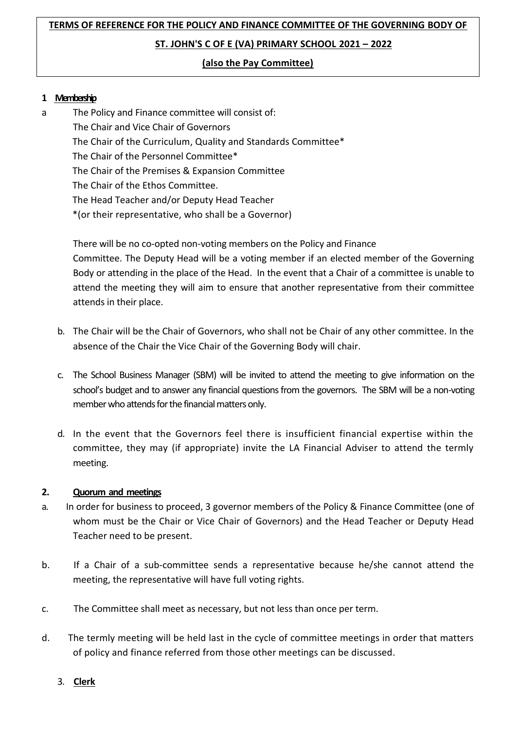# **TERMS OF REFERENCE FOR THE POLICY AND FINANCE COMMITTEE OF THE GOVERNING BODY OF ST. JOHN'S C OF E (VA) PRIMARY SCHOOL 2021 – 2022**

### **(also the Pay Committee)**

### **1 Membership**

a The Policy and Finance committee will consist of: The Chair and Vice Chair of Governors The Chair of the Curriculum, Quality and Standards Committee\* The Chair of the Personnel Committee\* The Chair of the Premises & Expansion Committee The Chair of the Ethos Committee. The Head Teacher and/or Deputy Head Teacher \*(or their representative, who shall be a Governor)

> There will be no co-opted non-voting members on the Policy and Finance Committee. The Deputy Head will be a voting member if an elected member of the Governing Body or attending in the place of the Head. In the event that a Chair of a committee is unable to attend the meeting they will aim to ensure that another representative from their committee attends in their place.

- b. The Chair will be the Chair of Governors, who shall not be Chair of any other committee. In the absence of the Chair the Vice Chair of the Governing Body will chair.
- c. The School Business Manager (SBM) will be invited to attend the meeting to give information on the school's budget and to answer any financial questions from the governors. The SBM will be a non-voting member who attends for the financial matters only.
- d. In the event that the Governors feel there is insufficient financial expertise within the committee, they may (if appropriate) invite the LA Financial Adviser to attend the termly meeting.

### **2. Quorum and meetings**

- a. In order for business to proceed, 3 governor members of the Policy & Finance Committee (one of whom must be the Chair or Vice Chair of Governors) and the Head Teacher or Deputy Head Teacher need to be present.
- b. If a Chair of a sub-committee sends a representative because he/she cannot attend the meeting, the representative will have full voting rights.
- c. The Committee shall meet as necessary, but not less than once per term.
- d. The termly meeting will be held last in the cycle of committee meetings in order that matters of policy and finance referred from those other meetings can be discussed.
	- 3. **Clerk**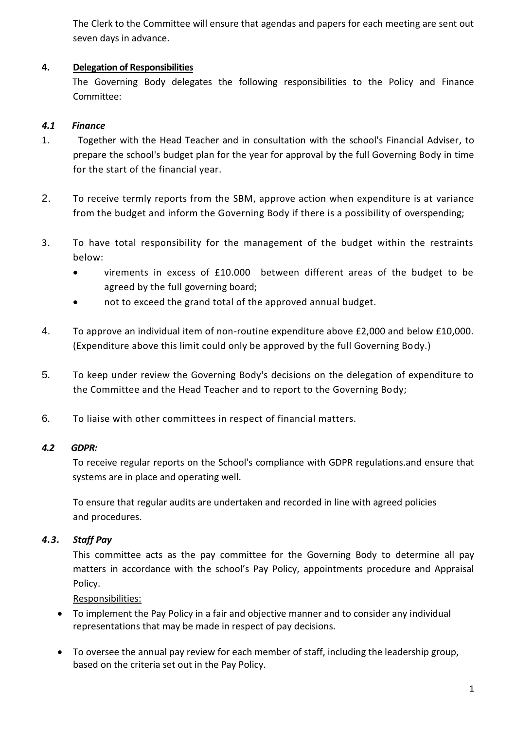The Clerk to the Committee will ensure that agendas and papers for each meeting are sent out seven days in advance.

### **4. Delegation of Responsibilities**

The Governing Body delegates the following responsibilities to the Policy and Finance Committee:

### *4.1 Finance*

- 1. Together with the Head Teacher and in consultation with the school's Financial Adviser, to prepare the school's budget plan for the year for approval by the full Governing Body in time for the start of the financial year.
- 2. To receive termly reports from the SBM, approve action when expenditure is at variance from the budget and inform the Governing Body if there is a possibility of overspending;
- 3. To have total responsibility for the management of the budget within the restraints below:
	- virements in excess of £10.000 between different areas of the budget to be agreed by the full governing board;
	- not to exceed the grand total of the approved annual budget.
- 4. To approve an individual item of non-routine expenditure above £2,000 and below £10,000. (Expenditure above this limit could only be approved by the full Governing Body.)
- 5. To keep under review the Governing Body's decisions on the delegation of expenditure to the Committee and the Head Teacher and to report to the Governing Body;
- 6. To liaise with other committees in respect of financial matters.

### *4.2 GDPR:*

To receive regular reports on the School's compliance with GDPR regulations.and ensure that systems are in place and operating well.

To ensure that regular audits are undertaken and recorded in line with agreed policies and procedures.

## *4.3. Staff Pay*

This committee acts as the pay committee for the Governing Body to determine all pay matters in accordance with the school's Pay Policy, appointments procedure and Appraisal Policy.

Responsibilities:

- To implement the Pay Policy in a fair and objective manner and to consider any individual representations that may be made in respect of pay decisions.
- To oversee the annual pay review for each member of staff, including the leadership group, based on the criteria set out in the Pay Policy.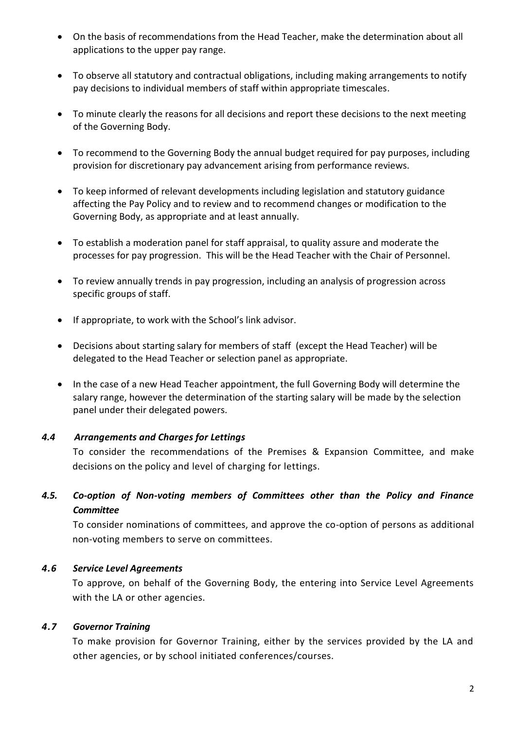- On the basis of recommendations from the Head Teacher, make the determination about all applications to the upper pay range.
- To observe all statutory and contractual obligations, including making arrangements to notify pay decisions to individual members of staff within appropriate timescales.
- To minute clearly the reasons for all decisions and report these decisions to the next meeting of the Governing Body.
- To recommend to the Governing Body the annual budget required for pay purposes, including provision for discretionary pay advancement arising from performance reviews.
- To keep informed of relevant developments including legislation and statutory guidance affecting the Pay Policy and to review and to recommend changes or modification to the Governing Body, as appropriate and at least annually.
- To establish a moderation panel for staff appraisal, to quality assure and moderate the processes for pay progression. This will be the Head Teacher with the Chair of Personnel.
- To review annually trends in pay progression, including an analysis of progression across specific groups of staff.
- If appropriate, to work with the School's link advisor.
- Decisions about starting salary for members of staff (except the Head Teacher) will be delegated to the Head Teacher or selection panel as appropriate.
- In the case of a new Head Teacher appointment, the full Governing Body will determine the salary range, however the determination of the starting salary will be made by the selection panel under their delegated powers.

### *4.4 Arrangements and Charges for Lettings*

To consider the recommendations of the Premises & Expansion Committee, and make decisions on the policy and level of charging for lettings.

# *4.5. Co-option of Non-voting members of Committees other than the Policy and Finance Committee*

To consider nominations of committees, and approve the co-option of persons as additional non-voting members to serve on committees.

### *4.6 Service Level Agreements*

To approve, on behalf of the Governing Body, the entering into Service Level Agreements with the LA or other agencies.

### *4.7 Governor Training*

To make provision for Governor Training, either by the services provided by the LA and other agencies, or by school initiated conferences/courses.